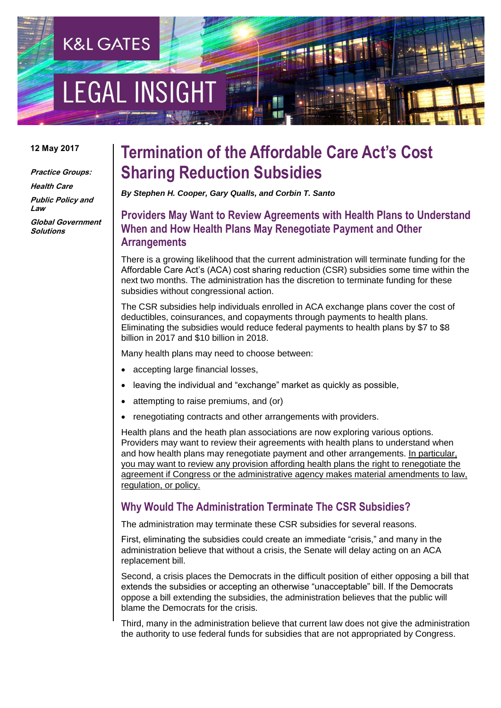# **EGAL INSIGH**

**K&L GATES** 

#### **12 May 2017**

**Practice Groups: Health Care**

**Public Policy and Law Global Government Solutions**

## **Termination of the Affordable Care Act's Cost Sharing Reduction Subsidies**

*By Stephen H. Cooper, Gary Qualls, and Corbin T. Santo*

## **Providers May Want to Review Agreements with Health Plans to Understand When and How Health Plans May Renegotiate Payment and Other Arrangements**

There is a growing likelihood that the current administration will terminate funding for the Affordable Care Act's (ACA) cost sharing reduction (CSR) subsidies some time within the next two months. The administration has the discretion to terminate funding for these subsidies without congressional action.

The CSR subsidies help individuals enrolled in ACA exchange plans cover the cost of deductibles, coinsurances, and copayments through payments to health plans. Eliminating the subsidies would reduce federal payments to health plans by \$7 to \$8 billion in 2017 and \$10 billion in 2018.

Many health plans may need to choose between:

- accepting large financial losses,
- leaving the individual and "exchange" market as quickly as possible,
- attempting to raise premiums, and (or)
- renegotiating contracts and other arrangements with providers.

Health plans and the heath plan associations are now exploring various options. Providers may want to review their agreements with health plans to understand when and how health plans may renegotiate payment and other arrangements. In particular, you may want to review any provision affording health plans the right to renegotiate the agreement if Congress or the administrative agency makes material amendments to law, regulation, or policy.

## **Why Would The Administration Terminate The CSR Subsidies?**

The administration may terminate these CSR subsidies for several reasons.

First, eliminating the subsidies could create an immediate "crisis," and many in the administration believe that without a crisis, the Senate will delay acting on an ACA replacement bill.

Second, a crisis places the Democrats in the difficult position of either opposing a bill that extends the subsidies or accepting an otherwise "unacceptable" bill. If the Democrats oppose a bill extending the subsidies, the administration believes that the public will blame the Democrats for the crisis.

Third, many in the administration believe that current law does not give the administration the authority to use federal funds for subsidies that are not appropriated by Congress.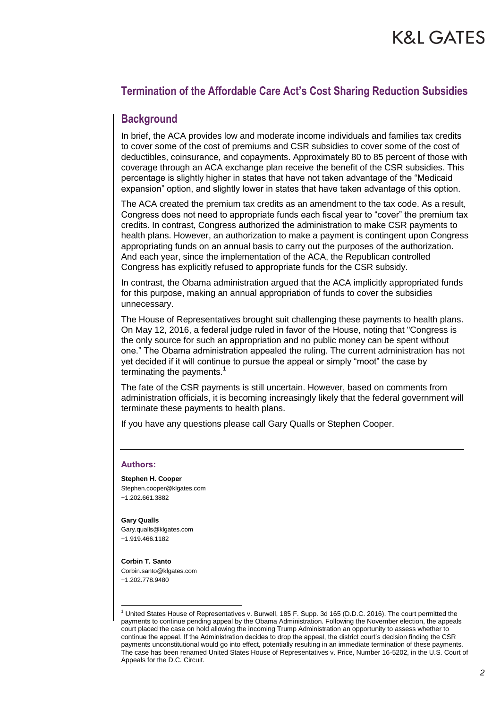## **Termination of the Affordable Care Act's Cost Sharing Reduction Subsidies**

### **Background**

In brief, the ACA provides low and moderate income individuals and families tax credits to cover some of the cost of premiums and CSR subsidies to cover some of the cost of deductibles, coinsurance, and copayments. Approximately 80 to 85 percent of those with coverage through an ACA exchange plan receive the benefit of the CSR subsidies. This percentage is slightly higher in states that have not taken advantage of the "Medicaid expansion" option, and slightly lower in states that have taken advantage of this option.

The ACA created the premium tax credits as an amendment to the tax code. As a result, Congress does not need to appropriate funds each fiscal year to "cover" the premium tax credits. In contrast, Congress authorized the administration to make CSR payments to health plans. However, an authorization to make a payment is contingent upon Congress appropriating funds on an annual basis to carry out the purposes of the authorization. And each year, since the implementation of the ACA, the Republican controlled Congress has explicitly refused to appropriate funds for the CSR subsidy.

In contrast, the Obama administration argued that the ACA implicitly appropriated funds for this purpose, making an annual appropriation of funds to cover the subsidies unnecessary.

The House of Representatives brought suit challenging these payments to health plans. On May 12, 2016, a federal judge ruled in favor of the House, noting that "Congress is the only source for such an appropriation and no public money can be spent without one." The Obama administration appealed the ruling. The current administration has not yet decided if it will continue to pursue the appeal or simply "moot" the case by terminating the payments.<sup>1</sup>

The fate of the CSR payments is still uncertain. However, based on comments from administration officials, it is becoming increasingly likely that the federal government will terminate these payments to health plans.

If you have any questions please call Gary Qualls or Stephen Cooper.

#### **Authors:**

#### **Stephen H. Cooper** Stephen.cooper@klgates.com

+1.202.661.3882

#### **Gary Qualls**

Gary.qualls@klgates.com +1.919.466.1182

#### **Corbin T. Santo**

1

Corbin.santo@klgates.com +1.202.778.9480

<sup>1</sup> United States House of Representatives v. Burwell, 185 F. Supp. 3d 165 (D.D.C. 2016). The court permitted the payments to continue pending appeal by the Obama Administration. Following the November election, the appeals court placed the case on hold allowing the incoming Trump Administration an opportunity to assess whether to continue the appeal. If the Administration decides to drop the appeal, the district court's decision finding the CSR payments unconstitutional would go into effect, potentially resulting in an immediate termination of these payments. The case has been renamed United States House of Representatives v. Price, Number 16-5202, in the U.S. Court of Appeals for the D.C. Circuit.